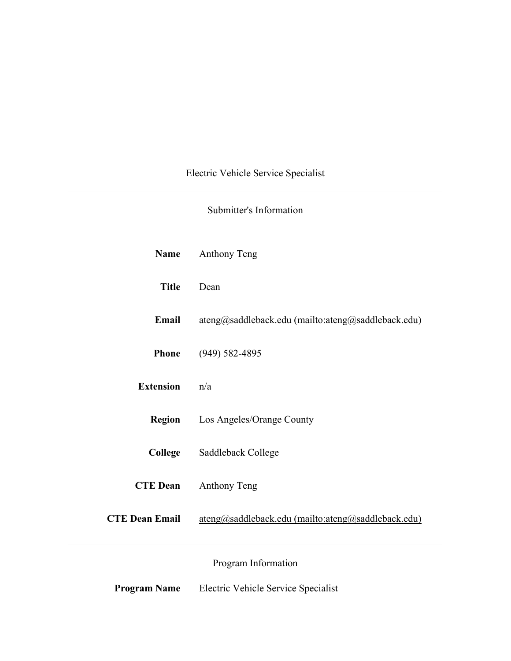# Electric Vehicle Service Specialist

# Submitter's Information

| <b>Name</b>           | Anthony Teng                                       |
|-----------------------|----------------------------------------------------|
| <b>Title</b>          | Dean                                               |
| Email                 | ateng@saddleback.edu (mailto:ateng@saddleback.edu) |
| <b>Phone</b>          | $(949) 582 - 4895$                                 |
| <b>Extension</b>      | n/a                                                |
| <b>Region</b>         | Los Angeles/Orange County                          |
| College               | Saddleback College                                 |
| <b>CTE Dean</b>       | Anthony Teng                                       |
| <b>CTE Dean Email</b> | ateng@saddleback.edu (mailto:ateng@saddleback.edu) |
|                       | Program Information                                |
| <b>Program Name</b>   | Electric Vehicle Service Specialist                |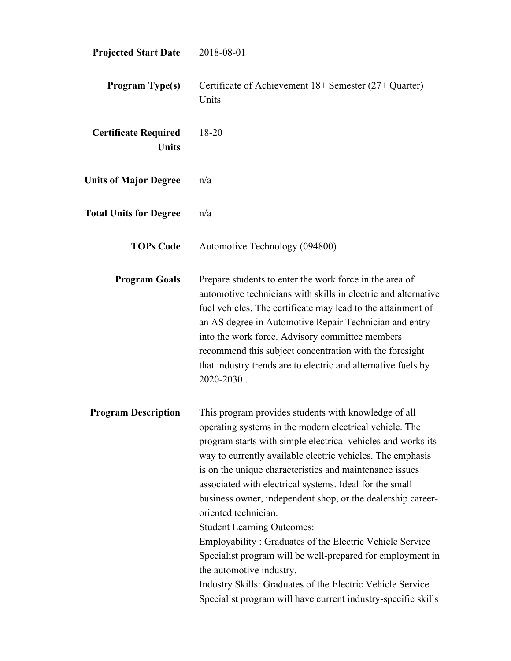| <b>Projected Start Date</b>                 | 2018-08-01                                                                                                                                                                                                                                                                                                                                                                                                                                                                                                                                                                                                                                                                                                                                                                           |
|---------------------------------------------|--------------------------------------------------------------------------------------------------------------------------------------------------------------------------------------------------------------------------------------------------------------------------------------------------------------------------------------------------------------------------------------------------------------------------------------------------------------------------------------------------------------------------------------------------------------------------------------------------------------------------------------------------------------------------------------------------------------------------------------------------------------------------------------|
| <b>Program Type(s)</b>                      | Certificate of Achievement 18+ Semester (27+ Quarter)<br>Units                                                                                                                                                                                                                                                                                                                                                                                                                                                                                                                                                                                                                                                                                                                       |
| <b>Certificate Required</b><br><b>Units</b> | 18-20                                                                                                                                                                                                                                                                                                                                                                                                                                                                                                                                                                                                                                                                                                                                                                                |
| <b>Units of Major Degree</b>                | n/a                                                                                                                                                                                                                                                                                                                                                                                                                                                                                                                                                                                                                                                                                                                                                                                  |
| <b>Total Units for Degree</b>               | n/a                                                                                                                                                                                                                                                                                                                                                                                                                                                                                                                                                                                                                                                                                                                                                                                  |
| <b>TOPs Code</b>                            | Automotive Technology (094800)                                                                                                                                                                                                                                                                                                                                                                                                                                                                                                                                                                                                                                                                                                                                                       |
| <b>Program Goals</b>                        | Prepare students to enter the work force in the area of<br>automotive technicians with skills in electric and alternative<br>fuel vehicles. The certificate may lead to the attainment of<br>an AS degree in Automotive Repair Technician and entry<br>into the work force. Advisory committee members<br>recommend this subject concentration with the foresight<br>that industry trends are to electric and alternative fuels by<br>2020-2030                                                                                                                                                                                                                                                                                                                                      |
| <b>Program Description</b>                  | This program provides students with knowledge of all<br>operating systems in the modern electrical vehicle. The<br>program starts with simple electrical vehicles and works its<br>way to currently available electric vehicles. The emphasis<br>is on the unique characteristics and maintenance issues<br>associated with electrical systems. Ideal for the small<br>business owner, independent shop, or the dealership career-<br>oriented technician.<br><b>Student Learning Outcomes:</b><br>Employability: Graduates of the Electric Vehicle Service<br>Specialist program will be well-prepared for employment in<br>the automotive industry.<br>Industry Skills: Graduates of the Electric Vehicle Service<br>Specialist program will have current industry-specific skills |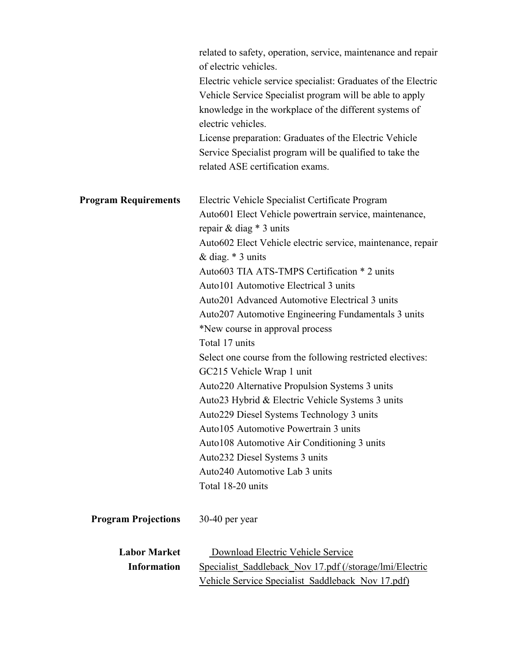|                             | related to safety, operation, service, maintenance and repair<br>of electric vehicles. |
|-----------------------------|----------------------------------------------------------------------------------------|
|                             | Electric vehicle service specialist: Graduates of the Electric                         |
|                             | Vehicle Service Specialist program will be able to apply                               |
|                             | knowledge in the workplace of the different systems of                                 |
|                             | electric vehicles.                                                                     |
|                             |                                                                                        |
|                             | License preparation: Graduates of the Electric Vehicle                                 |
|                             | Service Specialist program will be qualified to take the                               |
|                             | related ASE certification exams.                                                       |
| <b>Program Requirements</b> | Electric Vehicle Specialist Certificate Program                                        |
|                             | Auto601 Elect Vehicle powertrain service, maintenance,                                 |
|                             | repair & diag $*$ 3 units                                                              |
|                             | Auto602 Elect Vehicle electric service, maintenance, repair                            |
|                             | & diag. $*$ 3 units                                                                    |
|                             | Auto603 TIA ATS-TMPS Certification * 2 units                                           |
|                             | Auto101 Automotive Electrical 3 units                                                  |
|                             | Auto201 Advanced Automotive Electrical 3 units                                         |
|                             | Auto207 Automotive Engineering Fundamentals 3 units                                    |
|                             | *New course in approval process                                                        |
|                             | Total 17 units                                                                         |
|                             | Select one course from the following restricted electives:                             |
|                             | GC215 Vehicle Wrap 1 unit                                                              |
|                             | Auto220 Alternative Propulsion Systems 3 units                                         |
|                             | Auto23 Hybrid & Electric Vehicle Systems 3 units                                       |
|                             | Auto229 Diesel Systems Technology 3 units                                              |
|                             | Auto105 Automotive Powertrain 3 units                                                  |
|                             | Auto108 Automotive Air Conditioning 3 units                                            |
|                             | Auto232 Diesel Systems 3 units                                                         |
|                             | Auto240 Automotive Lab 3 units                                                         |
|                             | Total 18-20 units                                                                      |
| <b>Program Projections</b>  | $30-40$ per year                                                                       |
| <b>Labor Market</b>         | Download Electric Vehicle Service                                                      |
| <b>Information</b>          | Specialist Saddleback Nov 17.pdf (/storage/lmi/Electric                                |
|                             | Vehicle Service Specialist Saddleback Nov 17.pdf)                                      |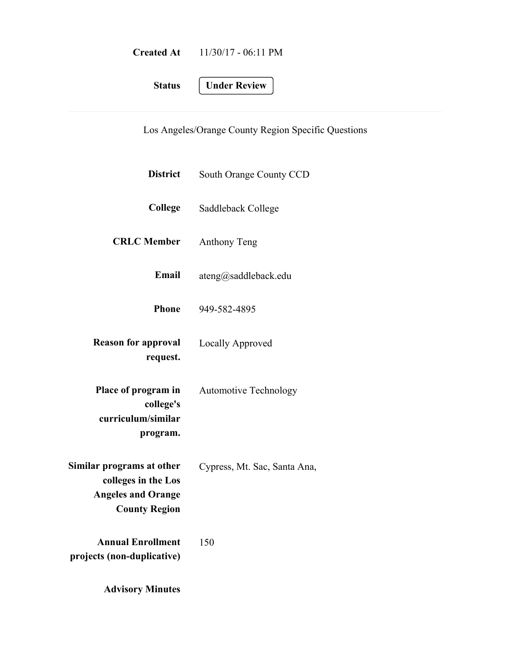| <b>Created At</b> | $11/30/17 - 06:11 \text{ PM}$ |
|-------------------|-------------------------------|
|                   |                               |

**Status Under Review**

Los Angeles/Orange County Region Specific Questions

| <b>District</b>                                                                                       | South Orange County CCD      |
|-------------------------------------------------------------------------------------------------------|------------------------------|
| College                                                                                               | Saddleback College           |
| <b>CRLC</b> Member                                                                                    | <b>Anthony Teng</b>          |
| <b>Email</b>                                                                                          | ateng@saddleback.edu         |
| <b>Phone</b>                                                                                          | 949-582-4895                 |
| <b>Reason for approval</b><br>request.                                                                | Locally Approved             |
| Place of program in<br>college's<br>curriculum/similar<br>program.                                    | <b>Automotive Technology</b> |
| Similar programs at other<br>colleges in the Los<br><b>Angeles and Orange</b><br><b>County Region</b> | Cypress, Mt. Sac, Santa Ana, |
| <b>Annual Enrollment</b><br>projects (non-duplicative)                                                | 150                          |
| <b>Advisory Minutes</b>                                                                               |                              |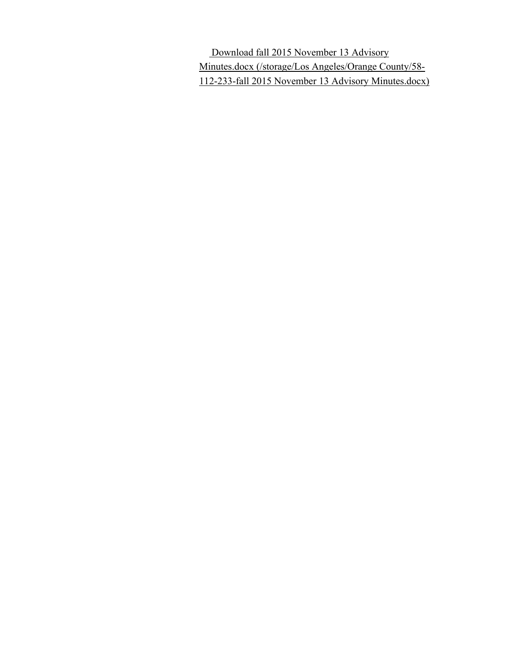Download fall 2015 November 13 Advisory Minutes.docx (/storage/Los Angeles/Orange County/58- 112-233-fall 2015 November 13 Advisory Minutes.docx)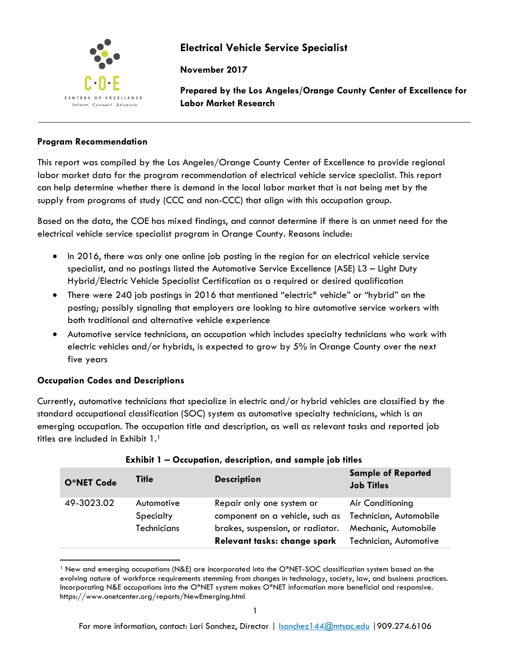

# **Electrical Vehicle Service Specialist**

**November 2017**

**Prepared by the Los Angeles/Orange County Center of Excellence for Labor Market Research**

## **Program Recommendation**

This report was compiled by the Los Angeles/Orange County Center of Excellence to provide regional labor market data for the program recommendation of electrical vehicle service specialist. This report can help determine whether there is demand in the local labor market that is not being met by the supply from programs of study (CCC and non-CCC) that align with this occupation group.

Based on the data, the COE has mixed findings, and cannot determine if there is an unmet need for the electrical vehicle service specialist program in Orange County. Reasons include:

- In 2016, there was only one online job posting in the region for an electrical vehicle service specialist, and no postings listed the Automotive Service Excellence (ASE) L3 – Light Duty Hybrid/Electric Vehicle Specialist Certification as a required or desired qualification
- There were 240 job postings in 2016 that mentioned "electric\* vehicle" or "hybrid" on the posting; possibly signaling that employers are looking to hire automotive service workers with both traditional and alternative vehicle experience
- Automotive service technicians, an occupation which includes specialty technicians who work with electric vehicles and/or hybrids, is expected to grow by 5% in Orange County over the next five years

## **Occupation Codes and Descriptions**

 $\overline{\phantom{a}}$ 

Currently, automotive technicians that specialize in electric and/or hybrid vehicles are classified by the standard occupational classification (SOC) system as automotive specialty technicians, which is an emerging occupation. The occupation title and description, as well as relevant tasks and reported job titles are included in Exhibit 1. 1

| O*NET Code | Title                                  | <b>Description</b>                                                                                                               | <b>Sample of Reported</b><br><b>Job Titles</b>                                               |
|------------|----------------------------------------|----------------------------------------------------------------------------------------------------------------------------------|----------------------------------------------------------------------------------------------|
| 49-3023.02 | Automotive<br>Specialty<br>Technicians | Repair only one system or<br>component on a vehicle, such as<br>brakes, suspension, or radiator.<br>Relevant tasks: change spark | Air Conditioning<br>Technician, Automobile<br>Mechanic, Automobile<br>Technician, Automotive |

| Exhibit 1 - Occupation, description, and sample job titles |  |  |  |  |  |
|------------------------------------------------------------|--|--|--|--|--|
|                                                            |  |  |  |  |  |

<sup>1</sup> New and emerging occupations (N&E) are incorporated into the O\*NET-SOC classification system based on the evolving nature of workforce requirements stemming from changes in technology, society, law, and business practices. Incorporating N&E occupations into the O\*NET system makes O\*NET information more beneficial and responsive. https://www.onetcenter.org/reports/NewEmerging.html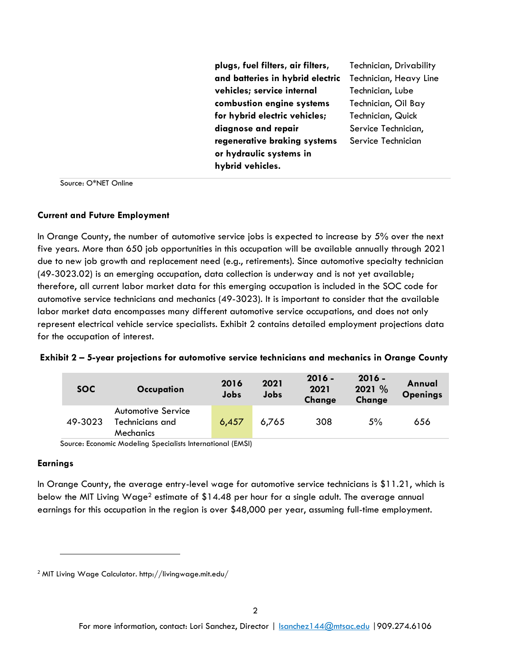**plugs, fuel filters, air filters, and batteries in hybrid electric vehicles; service internal combustion engine systems for hybrid electric vehicles; diagnose and repair regenerative braking systems or hydraulic systems in hybrid vehicles.** 

Technician, Drivability Technician, Heavy Line Technician, Lube Technician, Oil Bay Technician, Quick Service Technician, Service Technician

Source: O\*NET Online

#### **Current and Future Employment**

In Orange County, the number of automotive service jobs is expected to increase by 5% over the next five years. More than 650 job opportunities in this occupation will be available annually through 2021 due to new job growth and replacement need (e.g., retirements). Since automotive specialty technician (49-3023.02) is an emerging occupation, data collection is underway and is not yet available; therefore, all current labor market data for this emerging occupation is included in the SOC code for automotive service technicians and mechanics (49-3023). It is important to consider that the available labor market data encompasses many different automotive service occupations, and does not only represent electrical vehicle service specialists. Exhibit 2 contains detailed employment projections data for the occupation of interest.

| Exhibit 2 - 5-year projections for automotive service technicians and mechanics in Orange County |  |  |  |  |  |
|--------------------------------------------------------------------------------------------------|--|--|--|--|--|
|                                                                                                  |  |  |  |  |  |

| <b>SOC</b> | Occupation                                                | 2016<br>Jobs | 2021<br>Jobs | $2016 -$<br>2021<br><b>Change</b> | $2016 -$<br>2021 %<br>Change | Annual<br><b>Openings</b> |
|------------|-----------------------------------------------------------|--------------|--------------|-----------------------------------|------------------------------|---------------------------|
| 49-3023    | <b>Automotive Service</b><br>Technicians and<br>Mechanics | 6,457        | 6.765        | 308                               | 5%                           | 656                       |

Source: Economic Modeling Specialists International (EMSI)

## **Earnings**

 $\overline{\phantom{a}}$ 

In Orange County, the average entry-level wage for automotive service technicians is \$11.21, which is below the MIT Living Wage<sup>2</sup> estimate of \$14.48 per hour for a single adult. The average annual earnings for this occupation in the region is over \$48,000 per year, assuming full-time employment.

<sup>2</sup> MIT Living Wage Calculator. http://livingwage.mit.edu/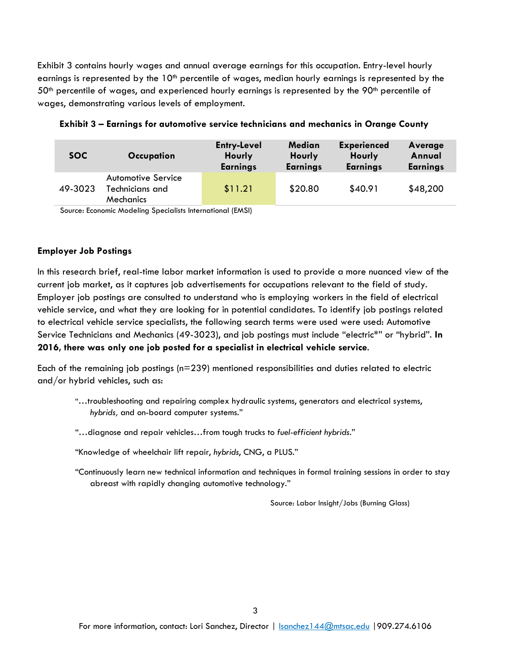Exhibit 3 contains hourly wages and annual average earnings for this occupation. Entry-level hourly earnings is represented by the 10<sup>th</sup> percentile of wages, median hourly earnings is represented by the  $50<sup>th</sup>$  percentile of wages, and experienced hourly earnings is represented by the 90<sup>th</sup> percentile of wages, demonstrating various levels of employment.

| <b>SOC</b> | Occupation                                                | <b>Entry-Level</b><br><b>Hourly</b><br><b>Earnings</b> | <b>Median</b><br>Hourly<br><b>Earnings</b> | <b>Experienced</b><br>Hourly<br><b>Earnings</b> | Average<br>Annual<br><b>Earnings</b> |
|------------|-----------------------------------------------------------|--------------------------------------------------------|--------------------------------------------|-------------------------------------------------|--------------------------------------|
| 49-3023    | <b>Automotive Service</b><br>Technicians and<br>Mechanics | \$11.21                                                | \$20.80                                    | \$40.91                                         | \$48,200                             |

**Exhibit 3 – Earnings for automotive service technicians and mechanics in Orange County**

Source: Economic Modeling Specialists International (EMSI)

## **Employer Job Postings**

In this research brief, real-time labor market information is used to provide a more nuanced view of the current job market, as it captures job advertisements for occupations relevant to the field of study. Employer job postings are consulted to understand who is employing workers in the field of electrical vehicle service, and what they are looking for in potential candidates. To identify job postings related to electrical vehicle service specialists, the following search terms were used were used: Automotive Service Technicians and Mechanics (49-3023), and job postings must include "electric\*" or "hybrid". **In 2016, there was only one job posted for a specialist in electrical vehicle service**.

Each of the remaining job postings (n=239) mentioned responsibilities and duties related to electric and/or hybrid vehicles, such as:

- "…troubleshooting and repairing complex hydraulic systems, generators and electrical systems, *hybrids,* and on-board computer systems."
- "…diagnose and repair vehicles…from tough trucks to *fuel-efficient hybrids*."
- "Knowledge of wheelchair lift repair, *hybrids*, CNG, a PLUS."
- "Continuously learn new technical information and techniques in formal training sessions in order to stay abreast with rapidly changing automotive technology."

Source: Labor Insight/Jobs (Burning Glass)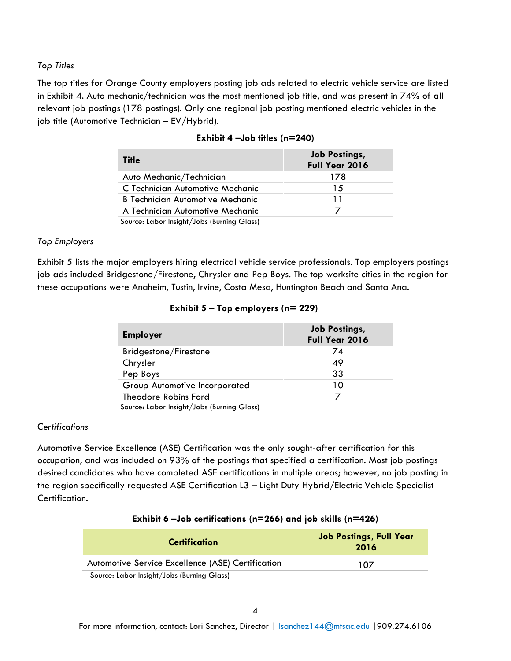### *Top Titles*

The top titles for Orange County employers posting job ads related to electric vehicle service are listed in Exhibit 4. Auto mechanic/technician was the most mentioned job title, and was present in 74% of all relevant job postings (178 postings). Only one regional job posting mentioned electric vehicles in the job title (Automotive Technician – EV/Hybrid).

| <b>Title</b>                               | <b>Job Postings,</b><br>Full Year 2016 |
|--------------------------------------------|----------------------------------------|
| Auto Mechanic/Technician                   | 178                                    |
| C Technician Automotive Mechanic           | 15                                     |
| B Technician Automotive Mechanic           | 11                                     |
| A Technician Automotive Mechanic           |                                        |
| Source: Labor Insight/Jobs (Burning Glass) |                                        |

## **Exhibit 4 –Job titles (n=240)**

## *Top Employers*

Exhibit 5 lists the major employers hiring electrical vehicle service professionals. Top employers postings job ads included Bridgestone/Firestone, Chrysler and Pep Boys. The top worksite cities in the region for these occupations were Anaheim, Tustin, Irvine, Costa Mesa, Huntington Beach and Santa Ana.

| <b>Employer</b>                            | <b>Job Postings,</b><br><b>Full Year 2016</b> |
|--------------------------------------------|-----------------------------------------------|
| Bridgestone/Firestone                      | 74                                            |
| Chrysler                                   | 49                                            |
| Pep Boys                                   | 33                                            |
| Group Automotive Incorporated              | 10                                            |
| Theodore Robins Ford                       |                                               |
| Source: Labor Insight/Jobs (Burning Glass) |                                               |

## **Exhibit 5 – Top employers (n= 229)**

### *Certifications*

Automotive Service Excellence (ASE) Certification was the only sought-after certification for this occupation, and was included on 93% of the postings that specified a certification. Most job postings desired candidates who have completed ASE certifications in multiple areas; however, no job posting in the region specifically requested ASE Certification L3 – Light Duty Hybrid/Electric Vehicle Specialist Certification.

## **Exhibit 6 –Job certifications (n=266) and job skills (n=426)**

| <b>Certification</b>                              | <b>Job Postings, Full Year</b><br>2016 |  |  |
|---------------------------------------------------|----------------------------------------|--|--|
| Automotive Service Excellence (ASE) Certification | 107                                    |  |  |
| Source: Labor Insight/Jobs (Burning Glass)        |                                        |  |  |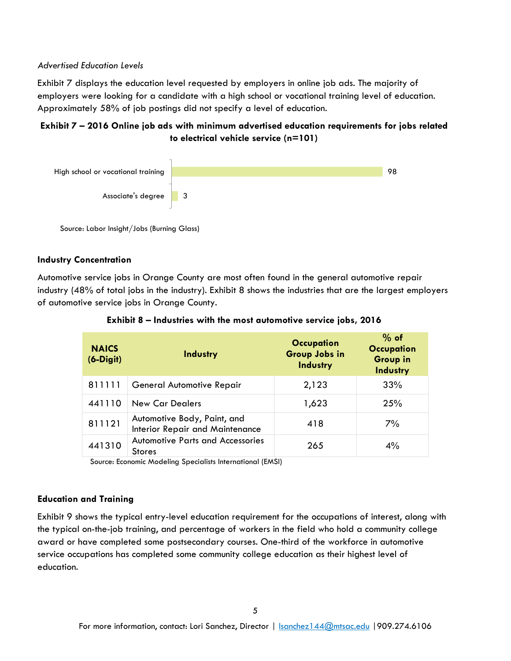### *Advertised Education Levels*

Exhibit 7 displays the education level requested by employers in online job ads. The majority of employers were looking for a candidate with a high school or vocational training level of education. Approximately 58% of job postings did not specify a level of education.

## **Exhibit 7 – 2016 Online job ads with minimum advertised education requirements for jobs related to electrical vehicle service (n=101)**



Source: Labor Insight/Jobs (Burning Glass)

## **Industry Concentration**

Automotive service jobs in Orange County are most often found in the general automotive repair industry (48% of total jobs in the industry). Exhibit 8 shows the industries that are the largest employers of automotive service jobs in Orange County.

| <b>NAICS</b><br>$(6-Digit)$ | Industry                                                       | <b>Occupation</b><br>Group Jobs in<br>Industry | $%$ of<br><b>Occupation</b><br><b>Group in</b><br>Industry |
|-----------------------------|----------------------------------------------------------------|------------------------------------------------|------------------------------------------------------------|
| 811111                      | General Automotive Repair                                      | 2,123                                          | 33%                                                        |
| 441110                      | <b>New Car Dealers</b>                                         | 1,623                                          | 25%                                                        |
| 811121                      | Automotive Body, Paint, and<br>Interior Repair and Maintenance | 418                                            | 7%                                                         |
| 441310                      | <b>Automotive Parts and Accessories</b><br><b>Stores</b>       | 265                                            | 4%                                                         |

## **Exhibit 8 – Industries with the most automotive service jobs, 2016**

Source: Economic Modeling Specialists International (EMSI)

## **Education and Training**

Exhibit 9 shows the typical entry-level education requirement for the occupations of interest, along with the typical on-the-job training, and percentage of workers in the field who hold a community college award or have completed some postsecondary courses. One-third of the workforce in automotive service occupations has completed some community college education as their highest level of education.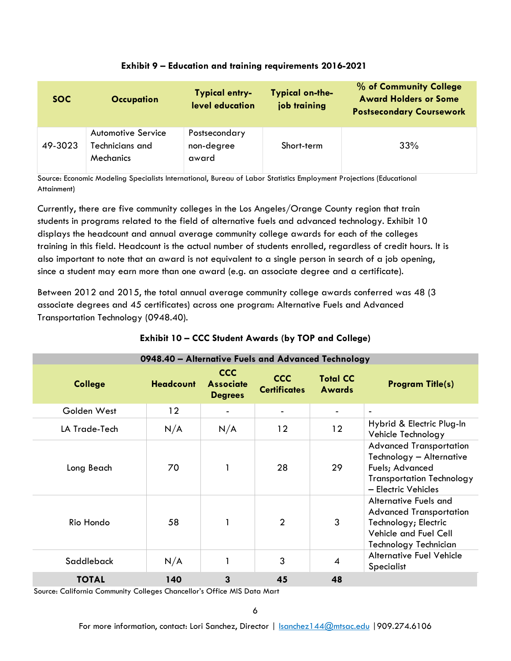| <b>SOC</b> | <b>Occupation</b>                                  | <b>Typical entry-</b><br>level education | <b>Typical on-the-</b><br>job training | % of Community College<br><b>Award Holders or Some</b><br><b>Postsecondary Coursework</b> |
|------------|----------------------------------------------------|------------------------------------------|----------------------------------------|-------------------------------------------------------------------------------------------|
| 49-3023    | Automotive Service<br>Technicians and<br>Mechanics | Postsecondary<br>non-degree<br>award     | Short-term                             | 33%                                                                                       |

## **Exhibit 9 – Education and training requirements 2016-2021**

Source: Economic Modeling Specialists International, Bureau of Labor Statistics Employment Projections (Educational Attainment)

Currently, there are five community colleges in the Los Angeles/Orange County region that train students in programs related to the field of alternative fuels and advanced technology. Exhibit 10 displays the headcount and annual average community college awards for each of the colleges training in this field. Headcount is the actual number of students enrolled, regardless of credit hours. It is also important to note that an award is not equivalent to a single person in search of a job opening, since a student may earn more than one award (e.g. an associate degree and a certificate).

Between 2012 and 2015, the total annual average community college awards conferred was 48 (3 associate degrees and 45 certificates) across one program: Alternative Fuels and Advanced Transportation Technology (0948.40).

| 0948.40 - Alternative Fuels and Advanced Technology |                  |                                                  |                                   |                                  |                                                                                                                                          |  |
|-----------------------------------------------------|------------------|--------------------------------------------------|-----------------------------------|----------------------------------|------------------------------------------------------------------------------------------------------------------------------------------|--|
| <b>College</b>                                      | <b>Headcount</b> | <b>CCC</b><br><b>Associate</b><br><b>Degrees</b> | <b>CCC</b><br><b>Certificates</b> | <b>Total CC</b><br><b>Awards</b> | <b>Program Title(s)</b>                                                                                                                  |  |
| Golden West                                         | $12 \,$          |                                                  |                                   |                                  | $\overline{\phantom{a}}$                                                                                                                 |  |
| LA Trade-Tech                                       | N/A              | N/A                                              | 12                                | 12                               | Hybrid & Electric Plug-In<br>Vehicle Technology                                                                                          |  |
| Long Beach                                          | 70               |                                                  | 28                                | 29                               | <b>Advanced Transportation</b><br>Technology - Alternative<br>Fuels; Advanced<br><b>Transportation Technology</b><br>- Electric Vehicles |  |
| Rio Hondo                                           | 58               |                                                  | $\overline{2}$                    | 3                                | Alternative Fuels and<br><b>Advanced Transportation</b><br>Technology; Electric<br>Vehicle and Fuel Cell<br>Technology Technician        |  |
| Saddleback                                          | N/A              |                                                  | 3                                 | $\overline{4}$                   | Alternative Fuel Vehicle<br>Specialist                                                                                                   |  |
| <b>TOTAL</b>                                        | 140              | 3                                                | 45                                | 48                               |                                                                                                                                          |  |

## **Exhibit 10 – CCC Student Awards (by TOP and College)**

Source: California Community Colleges Chancellor's Office MIS Data Mart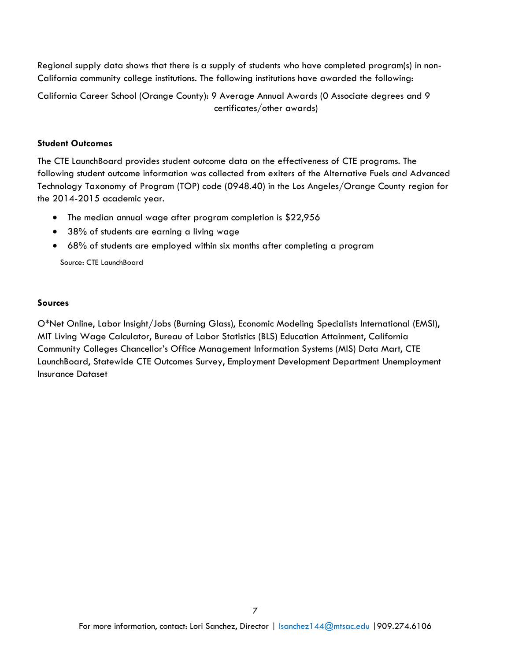Regional supply data shows that there is a supply of students who have completed program(s) in non-California community college institutions. The following institutions have awarded the following:

California Career School (Orange County): 9 Average Annual Awards (0 Associate degrees and 9 certificates/other awards)

### **Student Outcomes**

The CTE LaunchBoard provides student outcome data on the effectiveness of CTE programs. The following student outcome information was collected from exiters of the Alternative Fuels and Advanced Technology Taxonomy of Program (TOP) code (0948.40) in the Los Angeles/Orange County region for the 2014-2015 academic year.

- The median annual wage after program completion is \$22,956
- 38% of students are earning a living wage
- 68% of students are employed within six months after completing a program

Source: CTE LaunchBoard

### **Sources**

O\*Net Online, Labor Insight/Jobs (Burning Glass), Economic Modeling Specialists International (EMSI), MIT Living Wage Calculator, Bureau of Labor Statistics (BLS) Education Attainment, California Community Colleges Chancellor's Office Management Information Systems (MIS) Data Mart, CTE LaunchBoard, Statewide CTE Outcomes Survey, Employment Development Department Unemployment Insurance Dataset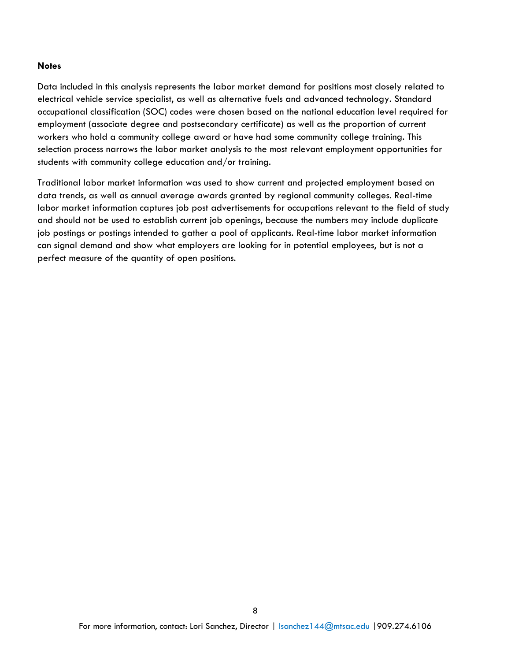#### **Notes**

Data included in this analysis represents the labor market demand for positions most closely related to electrical vehicle service specialist, as well as alternative fuels and advanced technology. Standard occupational classification (SOC) codes were chosen based on the national education level required for employment (associate degree and postsecondary certificate) as well as the proportion of current workers who hold a community college award or have had some community college training. This selection process narrows the labor market analysis to the most relevant employment opportunities for students with community college education and/or training.

Traditional labor market information was used to show current and projected employment based on data trends, as well as annual average awards granted by regional community colleges. Real-time labor market information captures job post advertisements for occupations relevant to the field of study and should not be used to establish current job openings, because the numbers may include duplicate job postings or postings intended to gather a pool of applicants. Real-time labor market information can signal demand and show what employers are looking for in potential employees, but is not a perfect measure of the quantity of open positions.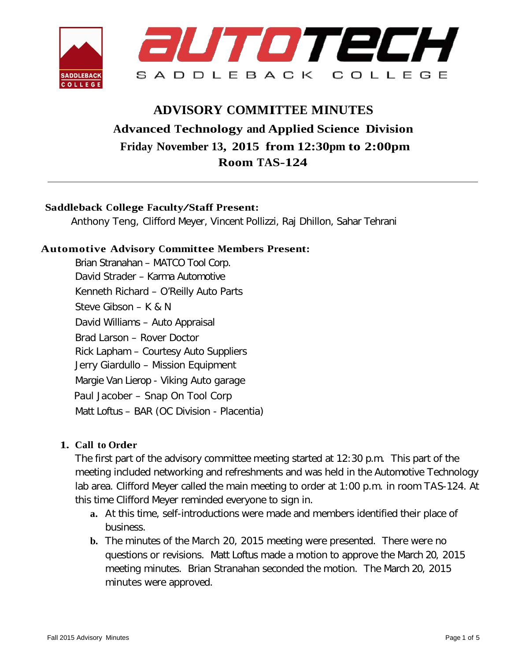

# **ADVISORY COMMITTEE MINUTES Advanced Technology and Applied Science Division Friday November 13, 2015 from 12:30pm to 2:00pm Room TAS-124**

## **Saddleback College Faculty/Staff Present:**

Anthony Teng, Clifford Meyer, Vincent Pollizzi, Raj Dhillon, Sahar Tehrani

## **Automotive Advisory Committee Members Present:**

Brian Stranahan – MATCO Tool Corp. David Strader – Karma Automotive Kenneth Richard – O'Reilly Auto Parts Steve Gibson – K & N David Williams – Auto Appraisal Brad Larson – Rover Doctor Rick Lapham – Courtesy Auto Suppliers Jerry Giardullo – Mission Equipment Margie Van Lierop - Viking Auto garage Paul Jacober – Snap On Tool Corp Matt Loftus – BAR (OC Division - Placentia)

## **1. Call to Order**

The first part of the advisory committee meeting started at 12:30 p.m. This part of the meeting included networking and refreshments and was held in the Automotive Technology lab area. Clifford Meyer called the main meeting to order at 1:00 p.m. in room TAS-124. At this time Clifford Meyer reminded everyone to sign in.

- **a.** At this time, self-introductions were made and members identified their place of business.
- **b.** The minutes of the March 20, 2015 meeting were presented. There were no questions or revisions. Matt Loftus made a motion to approve the March 20, 2015 meeting minutes. Brian Stranahan seconded the motion. The March 20, 2015 minutes were approved.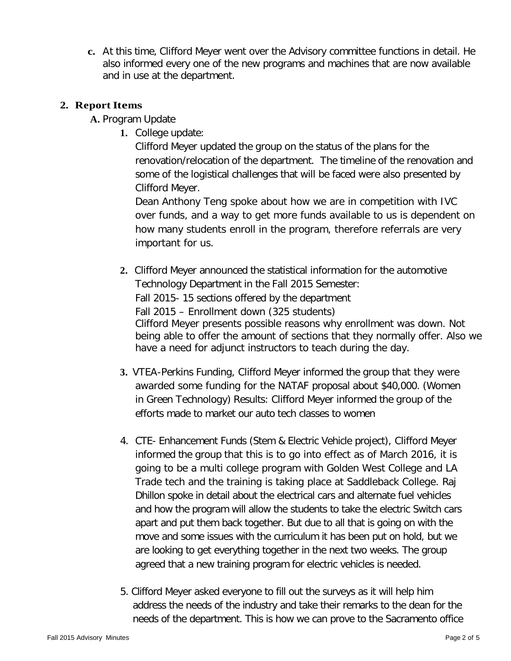**c.** At this time, Clifford Meyer went over the Advisory committee functions in detail. He also informed every one of the new programs and machines that are now available and in use at the department.

## **2. Report Items**

**A.** Program Update

**1.** College update:

Clifford Meyer updated the group on the status of the plans for the renovation/relocation of the department. The timeline of the renovation and some of the logistical challenges that will be faced were also presented by Clifford Meyer.

Dean Anthony Teng spoke about how we are in competition with IVC over funds, and a way to get more funds available to us is dependent on how many students enroll in the program, therefore referrals are very important for us.

- **2.** Clifford Meyer announced the statistical information for the automotive Technology Department in the Fall 2015 Semester: Fall 2015- 15 sections offered by the department Fall 2015 – Enrollment down (325 students) Clifford Meyer presents possible reasons why enrollment was down. Not being able to offer the amount of sections that they normally offer. Also we have a need for adjunct instructors to teach during the day.
- **3.** VTEA-Perkins Funding, Clifford Meyer informed the group that they were awarded some funding for the NATAF proposal about \$40,000. (Women in Green Technology) Results: Clifford Meyer informed the group of the efforts made to market our auto tech classes to women
- 4. CTE- Enhancement Funds (Stem & Electric Vehicle project), Clifford Meyer informed the group that this is to go into effect as of March 2016, it is going to be a multi college program with Golden West College and LA Trade tech and the training is taking place at Saddleback College. Raj Dhillon spoke in detail about the electrical cars and alternate fuel vehicles and how the program will allow the students to take the electric Switch cars apart and put them back together. But due to all that is going on with the move and some issues with the curriculum it has been put on hold, but we are looking to get everything together in the next two weeks. The group agreed that a new training program for electric vehicles is needed.
- 5. Clifford Meyer asked everyone to fill out the surveys as it will help him address the needs of the industry and take their remarks to the dean for the needs of the department. This is how we can prove to the Sacramento office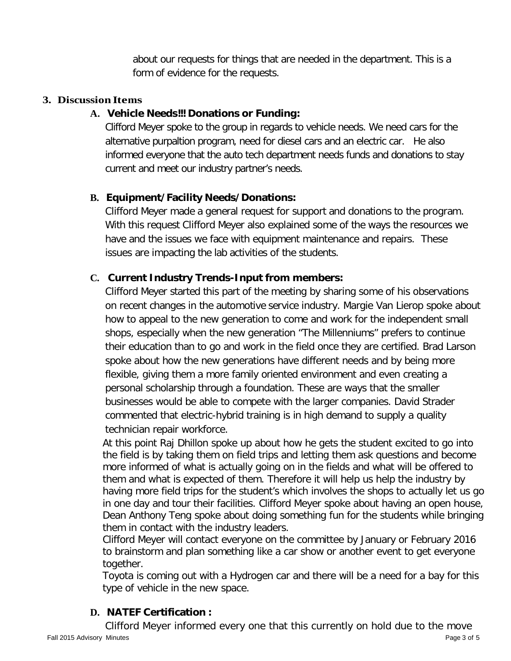about our requests for things that are needed in the department. This is a form of evidence for the requests.

## **3. Discussion Items**

# **A. Vehicle Needs!!! Donations or Funding:**

Clifford Meyer spoke to the group in regards to vehicle needs. We need cars for the alternative purpaltion program, need for diesel cars and an electric car. He also informed everyone that the auto tech department needs funds and donations to stay current and meet our industry partner's needs.

# **B. Equipment/Facility Needs/Donations:**

Clifford Meyer made a general request for support and donations to the program. With this request Clifford Meyer also explained some of the ways the resources we have and the issues we face with equipment maintenance and repairs. These issues are impacting the lab activities of the students.

# **C. Current Industry Trends-Input from members:**

Clifford Meyer started this part of the meeting by sharing some of his observations on recent changes in the automotive service industry. Margie Van Lierop spoke about how to appeal to the new generation to come and work for the independent small shops, especially when the new generation "The Millenniums" prefers to continue their education than to go and work in the field once they are certified. Brad Larson spoke about how the new generations have different needs and by being more flexible, giving them a more family oriented environment and even creating a personal scholarship through a foundation. These are ways that the smaller businesses would be able to compete with the larger companies. David Strader commented that electric-hybrid training is in high demand to supply a quality technician repair workforce.

At this point Raj Dhillon spoke up about how he gets the student excited to go into the field is by taking them on field trips and letting them ask questions and become more informed of what is actually going on in the fields and what will be offered to them and what is expected of them. Therefore it will help us help the industry by having more field trips for the student's which involves the shops to actually let us go in one day and tour their facilities. Clifford Meyer spoke about having an open house, Dean Anthony Teng spoke about doing something fun for the students while bringing them in contact with the industry leaders.

Clifford Meyer will contact everyone on the committee by January or February 2016 to brainstorm and plan something like a car show or another event to get everyone together.

Toyota is coming out with a Hydrogen car and there will be a need for a bay for this type of vehicle in the new space.

# **D. NATEF Certification :**

Fall 2015 Advisory Minutes Page 3 of 5 Clifford Meyer informed every one that this currently on hold due to the move